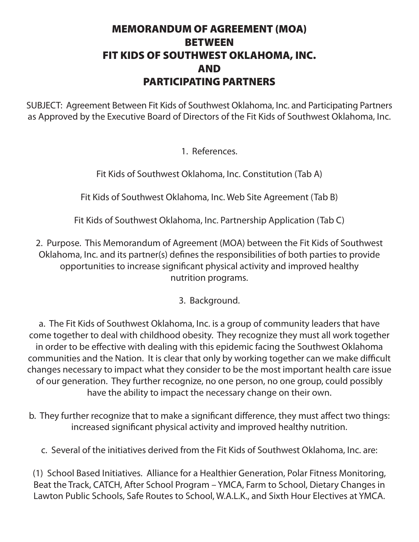## MEMORANDUM OF AGREEMENT (MOA) BETWEEN FIT KIDS OF SOUTHWEST OKLAHOMA, INC. AND PARTICIPATING PARTNERS

SUBJECT: Agreement Between Fit Kids of Southwest Oklahoma, Inc. and Participating Partners as Approved by the Executive Board of Directors of the Fit Kids of Southwest Oklahoma, Inc.

## 1. References.

Fit Kids of Southwest Oklahoma, Inc. Constitution (Tab A)

Fit Kids of Southwest Oklahoma, Inc. Web Site Agreement (Tab B)

Fit Kids of Southwest Oklahoma, Inc. Partnership Application (Tab C)

2. Purpose. This Memorandum of Agreement (MOA) between the Fit Kids of Southwest Oklahoma, Inc. and its partner(s) defines the responsibilities of both parties to provide opportunities to increase significant physical activity and improved healthy nutrition programs.

## 3. Background.

a. The Fit Kids of Southwest Oklahoma, Inc. is a group of community leaders that have come together to deal with childhood obesity. They recognize they must all work together in order to be effective with dealing with this epidemic facing the Southwest Oklahoma communities and the Nation. It is clear that only by working together can we make difficult changes necessary to impact what they consider to be the most important health care issue of our generation. They further recognize, no one person, no one group, could possibly have the ability to impact the necessary change on their own.

- b. They further recognize that to make a significant difference, they must affect two things: increased significant physical activity and improved healthy nutrition.
	- c. Several of the initiatives derived from the Fit Kids of Southwest Oklahoma, Inc. are:

(1) School Based Initiatives. Alliance for a Healthier Generation, Polar Fitness Monitoring, Beat the Track, CATCH, After School Program – YMCA, Farm to School, Dietary Changes in Lawton Public Schools, Safe Routes to School, W.A.L.K., and Sixth Hour Electives at YMCA.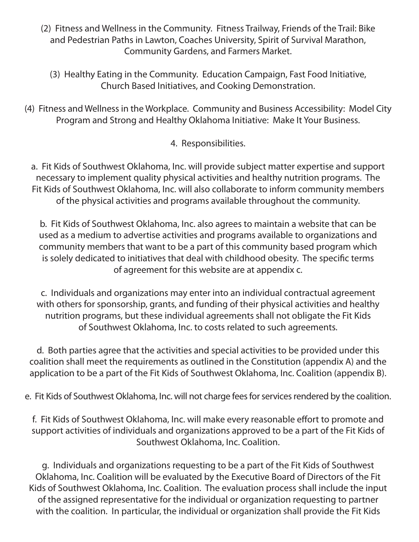- (2) Fitness and Wellness in the Community. Fitness Trailway, Friends of the Trail: Bike and Pedestrian Paths in Lawton, Coaches University, Spirit of Survival Marathon, Community Gardens, and Farmers Market.
	- (3) Healthy Eating in the Community. Education Campaign, Fast Food Initiative, Church Based Initiatives, and Cooking Demonstration.
- (4) Fitness and Wellness in the Workplace. Community and Business Accessibility: Model City Program and Strong and Healthy Oklahoma Initiative: Make It Your Business.

4. Responsibilities.

a. Fit Kids of Southwest Oklahoma, Inc. will provide subject matter expertise and support necessary to implement quality physical activities and healthy nutrition programs. The Fit Kids of Southwest Oklahoma, Inc. will also collaborate to inform community members of the physical activities and programs available throughout the community.

b. Fit Kids of Southwest Oklahoma, Inc. also agrees to maintain a website that can be used as a medium to advertise activities and programs available to organizations and community members that want to be a part of this community based program which is solely dedicated to initiatives that deal with childhood obesity. The specific terms of agreement for this website are at appendix c.

c. Individuals and organizations may enter into an individual contractual agreement with others for sponsorship, grants, and funding of their physical activities and healthy nutrition programs, but these individual agreements shall not obligate the Fit Kids of Southwest Oklahoma, Inc. to costs related to such agreements.

d. Both parties agree that the activities and special activities to be provided under this coalition shall meet the requirements as outlined in the Constitution (appendix A) and the application to be a part of the Fit Kids of Southwest Oklahoma, Inc. Coalition (appendix B).

e. Fit Kids of Southwest Oklahoma, Inc. will not charge fees for services rendered by the coalition.

f. Fit Kids of Southwest Oklahoma, Inc. will make every reasonable effort to promote and support activities of individuals and organizations approved to be a part of the Fit Kids of Southwest Oklahoma, Inc. Coalition.

g. Individuals and organizations requesting to be a part of the Fit Kids of Southwest Oklahoma, Inc. Coalition will be evaluated by the Executive Board of Directors of the Fit Kids of Southwest Oklahoma, Inc. Coalition. The evaluation process shall include the input of the assigned representative for the individual or organization requesting to partner with the coalition. In particular, the individual or organization shall provide the Fit Kids